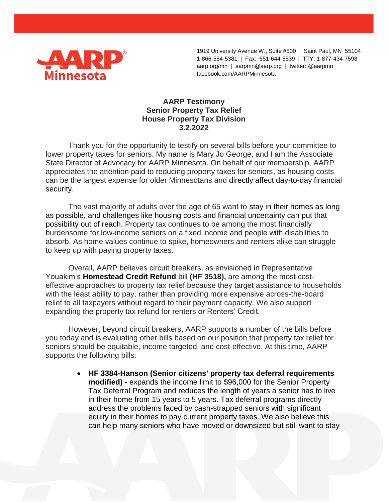

1919 University Avenue W., Suite #500 | Saint Paul, MN 55104 1-866-554-5381 | Fax: 651-644-5539 | TTY: 1-877-434-7598 aarp.org/mn | aarpmn@aarp.org | twitter: @aarpmn facebook.com/AARPMinnesota

## **AARP Testimony Senior Property Tax Relief House Property Tax Division 3.2.2022**

Thank you for the opportunity to testify on several bills before your committee to lower property taxes for seniors. My name is Mary Jo George, and I am the Associate State Director of Advocacy for AARP Minnesota. On behalf of our membership, AARP appreciates the attention paid to reducing property taxes for seniors, as housing costs can be the largest expense for older Minnesotans and directly affect day-to-day financial security.

The vast majority of adults over the age of 65 want to stay in their homes as long as possible, and challenges like housing costs and financial uncertainty can put that possibility out of reach. Property tax continues to be among the most financially burdensome for low-income seniors on a fixed income and people with disabilities to absorb. As home values continue to spike, homeowners and renters alike can struggle to keep up with paying property taxes.

Overall, AARP believes circuit breakers, as envisioned in Representative Youakim's **Homestead Credit Refund** bill **(HF 3518),** are among the most costeffective approaches to property tax relief because they target assistance to households with the least ability to pay, rather than providing more expensive across-the-board relief to all taxpayers without regard to their payment capacity. We also support expanding the property tax refund for renters or Renters' Credit.

However, beyond circuit breakers, AARP supports a number of the bills before you today and is evaluating other bills based on our position that property tax relief for seniors should be equitable, income targeted, and cost-effective. At this time, AARP supports the following bills:

> **HF 3384-Hanson (Senior citizens' property tax deferral requirements modified) -** expands the income limit to \$96,000 for the Senior Property Tax Deferral Program and reduces the length of years a senior has to live in their home from 15 years to 5 years. Tax deferral programs directly address the problems faced by cash-strapped seniors with significant equity in their homes to pay current property taxes. We also believe this can help many seniors who have moved or downsized but still want to stay